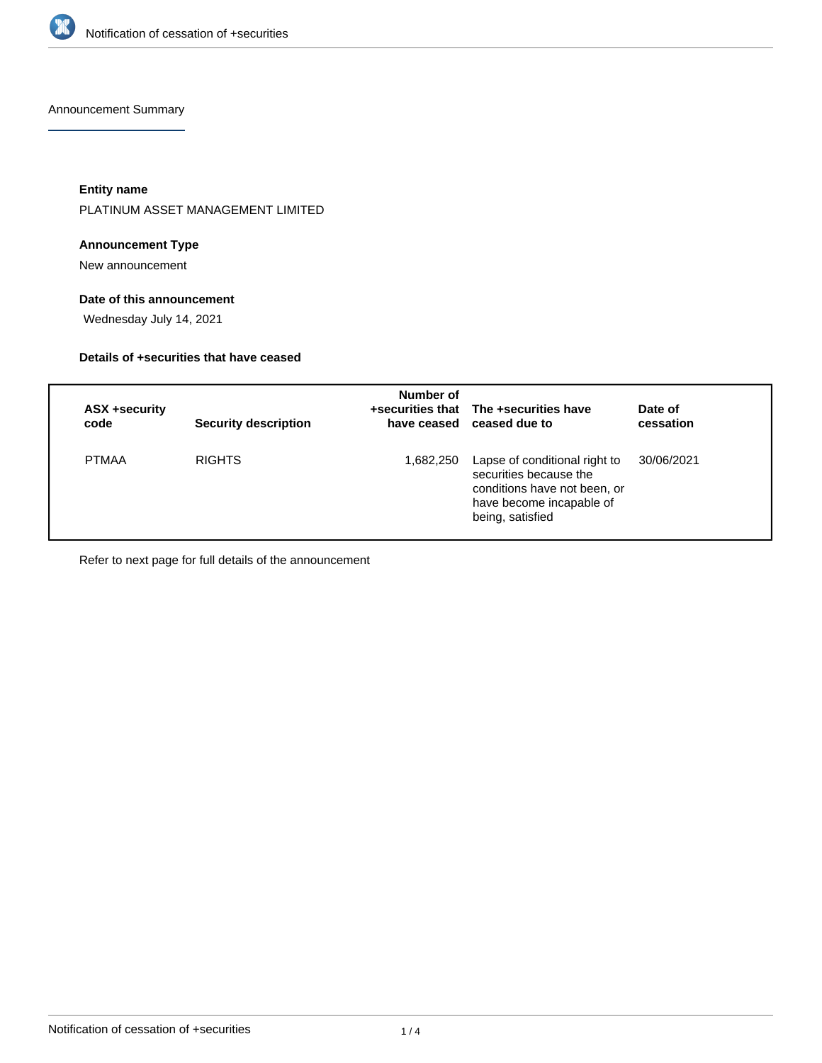

Announcement Summary

**Entity name**

PLATINUM ASSET MANAGEMENT LIMITED

# **Announcement Type**

New announcement

## **Date of this announcement**

Wednesday July 14, 2021

# **Details of +securities that have ceased**

| ASX +security<br>code | <b>Security description</b> | Number of | +securities that The +securities have<br>have ceased ceased due to                                                                      | Date of<br>cessation |
|-----------------------|-----------------------------|-----------|-----------------------------------------------------------------------------------------------------------------------------------------|----------------------|
| <b>PTMAA</b>          | <b>RIGHTS</b>               | 1,682,250 | Lapse of conditional right to<br>securities because the<br>conditions have not been, or<br>have become incapable of<br>being, satisfied | 30/06/2021           |

Refer to next page for full details of the announcement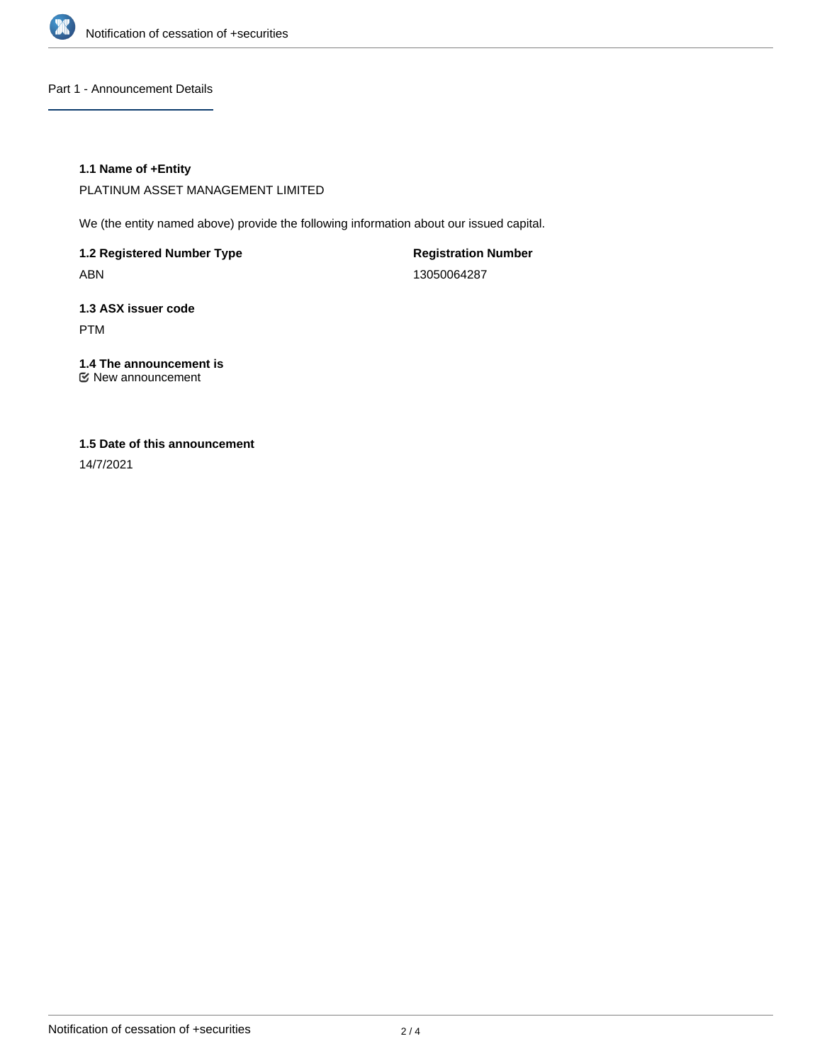

Part 1 - Announcement Details

## **1.1 Name of +Entity**

PLATINUM ASSET MANAGEMENT LIMITED

We (the entity named above) provide the following information about our issued capital.

**1.2 Registered Number Type** ABN

**Registration Number** 13050064287

**1.3 ASX issuer code** PTM

**1.4 The announcement is** New announcement

# **1.5 Date of this announcement**

14/7/2021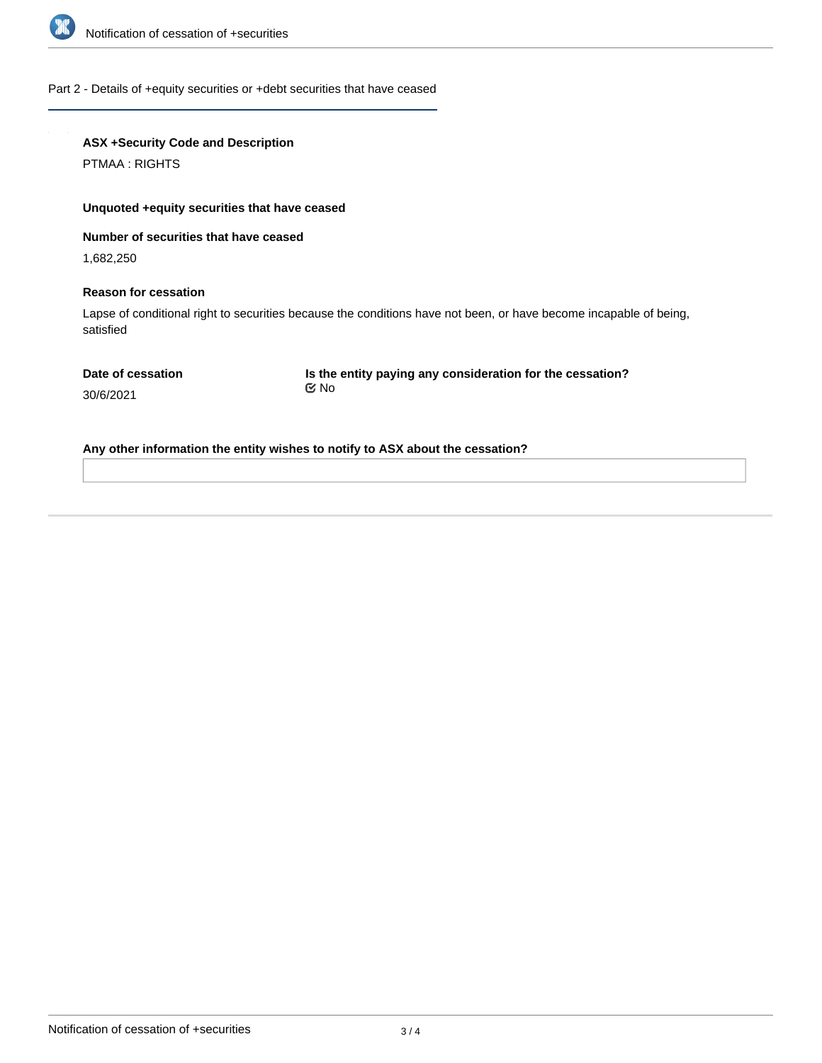

### Part 2 - Details of +equity securities or +debt securities that have ceased

## **ASX +Security Code and Description**

PTMAA : RIGHTS

### **Unquoted +equity securities that have ceased**

### **Number of securities that have ceased**

1,682,250

### **Reason for cessation**

Lapse of conditional right to securities because the conditions have not been, or have become incapable of being, satisfied

30/6/2021

**Is the entity paying any consideration for the cessation?** No

# **Any other information the entity wishes to notify to ASX about the cessation?**